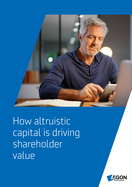

How altruistic capital is driving shareholder value

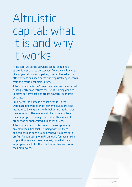### Altruistic capital: what it is and why it works

At its core, we define altruistic capital as taking a strategic approach to employees' financial wellbeing to give organisations a compelling competitive edge. Its effectiveness has been borne out empirically by research from the World Economic Forum.

Altruistic capital is the 'investment in altruistic acts that subsequently have returns for us.'<sup>1</sup> It is doing good to improve performance and create powerful economic benefits.

Employers who harness altruistic capital in the workplace understand that their employees are best incentivised by engaging with their prime motivators: their emotions. The winners will be those who treat their employees as real people rather than units of production or anonymised human resources. Altruistic capital, in this context, focuses primarily on employees' financial wellbeing with kindness and compassion seen as equally powerful metrics to profits. Paraphrasing John F Kennedy's famous maxim, its practitioners are those who ask, not what their employees can do for them, but what they can do for their employees.

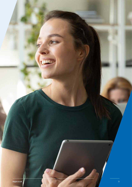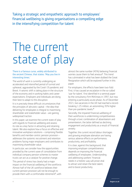Taking a strategic and empathetic approach to employees' financial wellbeing is giving organisations a compelling edge in the intensifying competition for talent

# The current state of play

#### There is a famous curse, widely attributed to the ancient Chinese, that states: 'May you live in interesting times.'

The world of work is currently undergoing an accelerated and intensified period of turmoil and upheaval, aggravated by the Covid-19 pandemic and Brexit. A seismic shift is taking place in the structure of the economy and in working habits and career expectations. Employers and individuals are doing their best to adapt to this disruption.

It is in precisely these difficult circumstances that the principles of altruistic capital – the idea that delivering for employees is integral to maximising shareholder and stakeholder value – are gaining widespread traction.

In this paper, we examine the current state of play with regards to financial wellbeing and assess its role as a key factor in attracting and retaining talent. We also explore how a focus on effective and innovative workplace solutions – comprising flexible benefits and member-centric pension provision – addresses the systemic recruitment and retention problems facing major employers and contributes to maximising shareholder value.

In particular, we consider how the opportunities provided by the current wave of consolidation from individual company pension schemes to master trusts can act as a catalyst for positive change.

This period of stress has clearly had a major impact on the financial wellbeing of the workforce. Almost half of the UK workforce believes their current pension provision will not be enough to provide them with a comfortable retirement<sup>2</sup>, with

almost the same number (45%) believing financial worries cause them to feel anxious<sup>3</sup>. This trend has culminated in what has been dubbed the Great Resignation which will be explored further in this paper.

For employers, the effects have been two-fold: First, it has caused an escalation in the so-called 'war for talent', first identified in a seminal paper by the consultancy firm McKinsey in 1997, but now entering a particularly acute phase. As of December 2021, live vacancies in the UK had reached a recordbreaking 1.25 million, an astonishing 35% higher than pre-pandemic levels.<sup>4</sup>

Secondly, the impaired financial wellbeing of their workforces is undermining competitiveness through a toxic combination of absenteeism and presenteeism, the latter defined as declining engagement and productivity as a result of financial anxiety.

Together, the current record labour shortages and growing employee alienation are having serious adverse effects on performance, productivity, and profitability.

It is clear, against this background, that improving employer competitiveness depends on improving the financial wellbeing of employees. Understanding and addressing workers' financial needs in a holistic way will prove vital to attract and retain the best talent, and to boost productivity.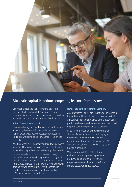

### Altruistic capital in action: compelling lessons from history

Like most radical and transformative ideas, the concept of altruistic capital is not entirely new. However, historic precedents from previous periods of economic and social upheaval show that it works.

#### Robert Owen at New Lanark

Two centuries ago, at the dawn of the first industrial revolution, the social reformer and industrialist, Robert Owen was applying revolutionary ideas in workplace wellbeing at his New Lanark Mills on the River Clyde.

At a time when a 15-hour day and six-day week were standard, Owen pushed his radical agenda of 'eight hours labour, eight hours recreation, eight hours rest'.

He even introduced an early version of furlough payments by continuing to pay workers throughout the 1807 American cotton embargo when the mills were closed. He was rewarded with a loyal and highly productive workforce that delivered spectacular profits. His returns on investment were well over 50%, far above any competitors.<sup>5</sup>

#### Henry Ford at the Ford Motor Company

A century later, Henry Ford was struggling to retain his workforce. His employees turnover was 400% annually as men simply walked off his automobile production lines to seek jobs elsewhere. The impact on productivity and profit was devastating. In 1914, Ford made an announcement that shocked America. He would start paying his employees \$5 a day, more than twice the average wage for an automobile worker. At the same time, he cut the working day by an hour to eight hours.

While many predicted that Ford would go bankrupt, the opposite happened – production and profits rocketed while employee turnover plunged. Workforce morale, loyalty and pride soared.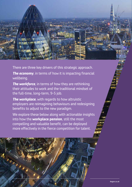There are three key drivers of this strategic approach. **The economy**, in terms of how it is impacting financial wellbeing.

*The workforce*, in terms of how they are rethinking their attitudes to work and the traditional mindset of the full-time, long-term, 9-5 job.

*The workplace*, with regards to how altruistic employers are reimagining behaviours and redesigning benefits to adjust to the new paradigm.

We explore these below along with actionable insights into how the **workplace pension**, still the most compelling and valuable benefit, can be deployed more effectively in the fierce competition for talent.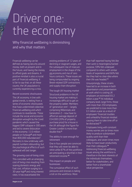# Driver one: the economy

Why financial wellbeing is diminishing and why that matters

Financial wellbeing can be defined as having security around money, both at present and in the future, and having the money to afford goals and dreams. A positive mindset is also a crucial part of financial wellbeing. It is fair to say that, on all these counts, the UK population is currently experiencing a crisis.

Recent economic shockwaves The UK economy, in line with global trends, is reeling from a series of economic shockwaves that have undermined collective financial wellbeing and which continues to reverberate. These include the social and economic disruption wrought by the Covid pandemic which caused the biggest GNP collapse in 300 years and led to severe dislocation in the economy: 11.6 million people on furlough<sup>6</sup> and more than 800,000 redundancies<sup>7</sup>. Recovery is now underway, with payroll numbers rebounding, but the psychological effects of such upheaval will last longer.

The growing cost-of-living crisis This coincided with an emerging cost of living crisis resulting from soaring domestic energy and fuel cost, inflation surging to a 30-year high<sup>8</sup> and rising interest rates. It has exacerbated the

existing problems of 12 years of declining or stagnant wages, and the subsequent rise of insecure employment in the shape of the gig economy and rise of zero hours contracts. These issues are being compounded by ongoing Brexit-related GDP contractions and supply chain disruption.

The tough UK housing market Structural problems in the UK housing market are making it increasingly difficult to get on the property ladder. Members of 'generation rent' – largely comprising Millennials and Generation Z – now have to afford an average deposit of £54,000 (20% of property purchase price) for a house in the UK although the figure for Greater London is more than double that 9

The ability to save enough for retirement

One in four people are convinced that they will never be able to retire while 87% of the workforce are anticipating a shortfall in their retirement income.<sup>10</sup>

#### This impact on people and businesses

The cumulative effect of such pressures and stresses is taking a toll on the workforce. More

than half reported having felt like their work is meaningless/lacked purpose, 59% felt underpaid compared to others with similar levels of experience and 66% felt like they had no clear idea where their life was headed.<sup>11</sup>

Unsurprisingly, these strains have led to an increase in both absenteeism and presenteeism at work which is costing UK employers an estimated £6.2 billion a year.<sup>12</sup> At individual company level, large firms, those with more than 250 employees, are predicted to lose more than £2 million a year as a result of employees' financial troubles and unhealthy financial mindset causing them to take time off or be distracted.<sup>13</sup>

Employees living with constant money worries are six times more likely to produce substandard quality work than their colleagues, and seven times more likely to have lower productivity than their colleagues.<sup>14</sup> Addressing financial wellbeing issues among the workforce is therefore in the best interests of the individuals themselves, better for stakeholders, and better from a shareholder value perspective.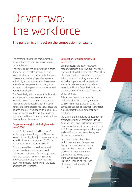# Driver two: the workforce

### The pandemic's impact on the competition for talent

The established norms of employment are being reshaped as organisations reimagine the world of work.

The tightening of the labour market is being driven by the Great Resignation, surging salary inflation and widening skills shortages. Job vacancies and employee shortages are at their highest level in decades. Businesses are under severe pressure with many now engaged in bidding contests to retain as well as recruit employees.

The Great Resignation is a quantifiable reality, and it has led to intense competition for available talent. The pandemic has caused the biggest worker recalibration in modern history and in the process radically shifted the balance of power from capital to labour: 58% of workers acknowledge that the pandemic has compelled them to fundamentally rethink their work and life balance<sup>15</sup>

#### People are leaving jobs at the highest rate since 2008<sup>16</sup>

In the US, the so-called Big Quit saw 4.5 million people leave their jobs in November alone.17 In the UK, job-to-job moves reached a record high in the third quarter of 2021, with no sign that this will abate in 2022.<sup>18</sup>

This has been driven by a raft of related factors based on a lockdown-induced collective re-evaluation of what people want from their careers. People have become more reluctant to stay in jobs which they deem incompatible with their new life goals, ambitions and wellbeing.

### Competition for skilled employees intensifies

Simultaneously, the newly resurgent economy is facing a massive skills shortage and dearth of suitable candidates. While 80% of employers plan to recruit new employees in the next year $19$ , existing pre-pandemic skills shortages across all professional and technical environments have been exacerbated by the Great Resignation and the repatriation of hundreds of thousands of EU nationals.

Salaries are increasing – those for professionals will increase by as much as 25% in the first quarter of 2022 – as companies bouncing back after the Omicronslowdown fight to hold onto their best employees.<sup>20</sup>

In a sign of the intensifying competition for employees, major UK employers such as Amazon, John Lewis Partnership and Tesco have been offering joining bonuses of up to £3,000 to overcome employee shortages while McDonalds has been offering free iPhones to new recruits.

But these are short-term fixes. With three-quarters of employees feeling 'very confident' about job opportunities in their sector this year21 increasing salaries is not sufficient on its own to prevail in the competition for talent. Instead, a wider holistic package of employee wellbeing benefits is required.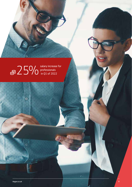$25\%$  salary increase for<br>in Q1 of 2022 professionals in Q1 of 2022

G

o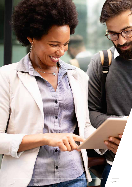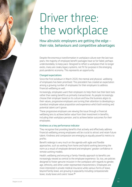### Driver three: the workplace

How altruistic employers are getting the edge – their role, behaviours and competitive advantages

Despite the enormous transformation in workplace culture over the last two years, the majority of employee benefit packages have so far failed, perhaps understandably, to keep pace. Designed to reflect a workplace that no longer exists, many are creaky legacy systems, not fit for purpose in the emerging post-pandemic economy. This represents an opportunity.

#### Changed expectations

Since the first lockdown in March 2020, the mental and physical wellbeing of employees has been prioritised. This precedent has created an expectation among a growing number of employees for their employers to address financial wellbeing as well.

Increasingly, employees want their employers to help them live their best lives rather than seeing benefits as primarily transactional. As people increasingly choose their employer based on its culture and how the business aligns to their values, progressive employers are turning their attention to developing a standout employee value proposition and experience which both existing and potential talent can't ignore.

These progressive employers are viewing the issue through a financial wellbeing lens to achieve better value from their investment in benefits, including their workplace pension, and to achieve better outcomes for their employees.

#### Kindness as a key performance indicator

They recognise that providing benefits that actively and effectively address financial wellbeing among employees will be crucial to attract and retain future talent. Kindness and compassion are emerging as equally powerful metrics to profits.

Benefit redesign is very much on the agenda with agile and flexible approaches, such as working from home and hybrid working becoming the norm as a result of employee demand and employers' greater confidence in remote working models.

Health, wellbeing and ensuring a family-friendly approach to benefits are increasingly viewed as central to the employee experience. So, too, are policies designed to foster genuine inclusion in the workplace with regards to gender. age, ethnicity, and other under-represented characteristics. Employees are more interested in private medical insurance while various forms of leave, beyond family leave, are growing in popularity including compassionate leave, study leave and carers' leave.<sup>22</sup>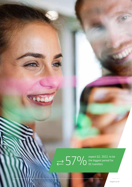ETO the biggest period for<br>DC transfers the biggest period for DC transfers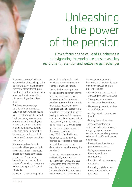## Unleashing the power of the pension

How a focus on the value of DC schemes is re-invigorating the workplace pension as a key recruitment, retention and wellbeing gamechanger

It comes as no surprise that an attractive benefits package is the key differentiator in winning the contest to attract talent given that three quarters of employees are more likely to stay with, or join, an employer that offers one.<sup>23</sup>

But the same percentage considers the pension to be 'very important' when choosing a new employer. Wellbeing and flexible working have become more important to employees, but pensions remain the most in-demand employee benefit<sup>24</sup> – the single biggest benefit in the package and the greatest investment for employers other than salary.

It is also a decisive factor in financial wellbeing terms. With fewer than three in ten people expecting to retire at the state pension age<sup>25</sup>, and one in four retirees not owning their property26, pension concerns are a dominant aspect of financial wellbeing.

Pensions are also undergoing a

period of transformation that parallels and complements the changes in working culture.

Just as the fierce competition for talent is the dominant theme for businesses, so a renewed focus on value for money and member outcomes is the current undisputed megatrend in the workplace pensions sector. It is a trend that has momentum and is leading to a dramatic increase in scheme consolidation, particularly into genuinely member-centric master trusts; 57% of workplace pensions professionals expect the second quarter of this year, 2022, to be the biggest period for DC transfers<sup>27</sup> as migration accelerates in response to regulatory pressures to demonstrate value for money (for members).

In this recovery phase, employers will be highly motivated to realise the efficiencies and cost savings that are key drivers for consolidation. However, just as importantly, altruistic employers are demonstrating that changes

to pension arrangements, integrated with a strategic focus on employee wellbeing, is a powerful tool for:

- Retaining key employees and attracting the best candidates
- Strengthening employee motivation and commitment
- Helping employees to achieve work-life balance
- Adding value to the employer brand
- Driving shareholder value.

There are several ways in which such altruistic employers are going beyond statutory requirements to deliver pensions schemes that offer real value to employees:

- Paying above the minimum pension contributions
- Giving employees more flexibility to change contributions
- Providing tailored journeys to retirement
- Enhancing digital and real time communication and guidance.  $\geq$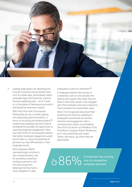

 $\left\langle \right\rangle$ Leading edge players are delivering this through innovative and accessible tools such as mobile apps, personalised videos, accessible data and interactive, intuitive financial wellbeing tools – all of it built on a foundation of behavioural economics and backed by extensive research. With more than half of businesses feeling they are not currently reaping the substantial potential benefits, in terms of recruiting and retaining talent,<sup>28</sup> modernising workplace pension scheme

arrangements provides the opportunity to maximise employee engagement. More than half (55%) of UK businesses believe that better employee engagement would permit them to unlock the potential of pensions as a key differentiator in their employee brands.

Most employers (86%) overwhelmingly continue to see a strong business case for providing competitive workplace pensions, with the same proportion believing that they have a moral obligation to help

employees to save for retirement.<sup>29</sup> If employees believe their pension is competitive, well run and provides the options and support they need, they are likely to feel more valued, more engaged with their employers and more productive. That translates into shareholder value. Henry Ford recognised and proved that prioritising the financial wellbeing of employees transformed recruitment, retention and engagement with a commensurate impact on profitability. One of his successors as President of the Ford Motor Company, Robert McNamara, put it very powerfully and simply: 'Brains, like hearts, go where they are

appreciated.'

86% of employers see a strong<br>ase for competitive<br>workplace pensions case for competitive workplace pensions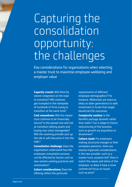### Capturing the consolidation opportunity: the challenges

Key considerations for organisations when selecting a master trust to maximise employee wellbeing and employer value

**Capacity crunch:** Will there be severe congestion on the road to transition? Will schemes get trampled in the stampede of hundreds of firms trying to transition at the same time?

**Cost conundrum:** Will the master trust continue to be financially secure? Is the spread cost and risk at transition (selling assets and buying new ones) manageable? Will the receiving provider pick up the tab or will they price it into the AMC?

**Consultation challenge:** Does the organisation understand how the employee consultation process can be affected by factors such as new remote working practices and unionisation?

**Cohort considerations:** Does the offering reflect the particular

requirements of different employee demographics? For instance, Millennials are twice as likely as older generations to seek investment in funds that target beneficial ESG outcomes.

**Complexity caution:** Is the benefits package dynamic rather than static? Can it adapt to future restructuring of the business such as growth via acquisition or divestment?

**Culture clash:** For employers making structural changes to their workplace pensions, there are several important considerations. Is the new provider, such as a master trust, purpose-led? Does it match the values and ethos of the employer, or does it have a more commercial focus on issues such as price?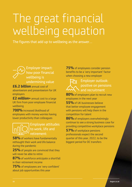# The great financial wellbeing equation

The figures that add up to wellbeing as the answer…



**£6.2 billion** annual cost of

absenteeism and presenteeism for UK employers

**£2 million+** annual cost to a large UK firm from poor employee financial wellbeing

**700%** increased likelihood of employees with money worries having lower productivity than colleagues



Employee attitudes to work, life and retirement:

**58%** of workers have fundamentally rethought their work and life balance during the pandemic

**25%** of people are convinced that they will never be able to retire

**87%** of workforce anticipate a shortfall in their retirement income

**75%** of employees are 'very confident' about job opportunities this year

**75%** of employees consider pension benefits to be a 'very important' factor when choosing a new employer



Employer outlook: positive on pensions and recruitment

**80%** of employers plan to recruit new employees in the next year

**55%** of UK businesses believe that better employee engagement with pensions will help them in the competition for talent

**86%** of employers overwhelmingly continue to see a strong business case for providing competitive workplace pensions

**57%** of workplace pensions professionals expect the second quarter of this year, 2022, to be the biggest period for DC transfers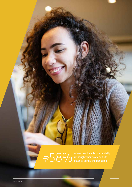$\frac{1}{2}$   $\frac{1}{2}$   $\frac{1}{2}$   $\frac{1}{2}$  of workers have fundamentally rethought their work and life rethought their work and life balance during the pandemic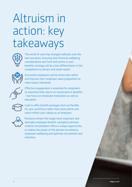# Altruism in action: key takeaways



The world of work has changed radically over the last two years. Ensuring that financial wellbeing considerations are front and centre in your benefits strategy will be a key differentiator in the competition to attract and retain talent.



Successful employers will be those who refine and improve their employee value proposition to meet today's demands.



Effective engagement is essential for employers to maximise their return on investment in benefits – but focus on employee motivation as well as education.

Look to offer benefit packages that are flexible for your workforce rather than prescriptive and which reflect your values as an employer.



Pensions remain the single most important and desirable employee benefit: workplace pension scheme consolidation offers a unique opportunity to realise the power of the pension to enhance employee wellbeing and optimise recruitment and retention.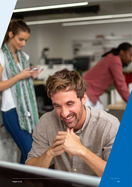